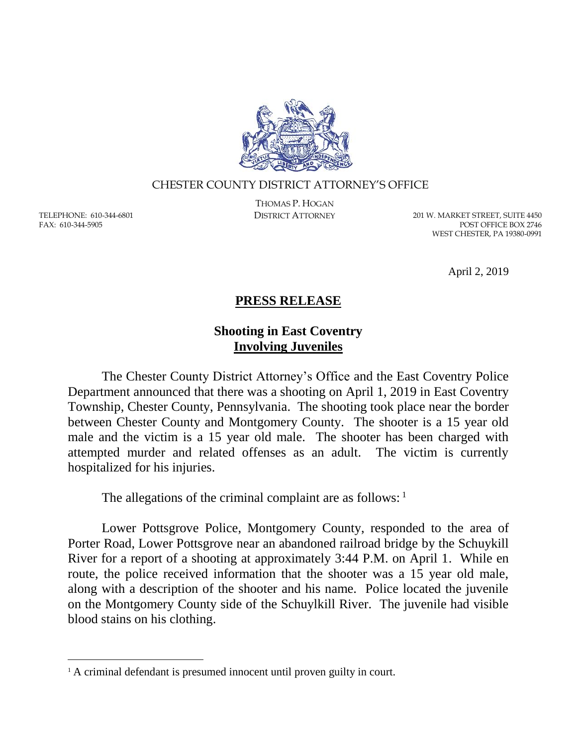

## CHESTER COUNTY DISTRICT ATTORNEY'S OFFICE

TELEPHONE: 610-344-6801 FAX: 610-344-5905

 $\overline{a}$ 

THOMAS P. HOGAN

DISTRICT ATTORNEY 201 W. MARKET STREET, SUITE 4450 POST OFFICE BOX 2746 WEST CHESTER, PA 19380-0991

April 2, 2019

## **PRESS RELEASE**

## **Shooting in East Coventry Involving Juveniles**

The Chester County District Attorney's Office and the East Coventry Police Department announced that there was a shooting on April 1, 2019 in East Coventry Township, Chester County, Pennsylvania. The shooting took place near the border between Chester County and Montgomery County. The shooter is a 15 year old male and the victim is a 15 year old male. The shooter has been charged with attempted murder and related offenses as an adult. The victim is currently hospitalized for his injuries.

The allegations of the criminal complaint are as follows:  $1$ 

Lower Pottsgrove Police, Montgomery County, responded to the area of Porter Road, Lower Pottsgrove near an abandoned railroad bridge by the Schuykill River for a report of a shooting at approximately 3:44 P.M. on April 1. While en route, the police received information that the shooter was a 15 year old male, along with a description of the shooter and his name. Police located the juvenile on the Montgomery County side of the Schuylkill River. The juvenile had visible blood stains on his clothing.

<sup>&</sup>lt;sup>1</sup> A criminal defendant is presumed innocent until proven guilty in court.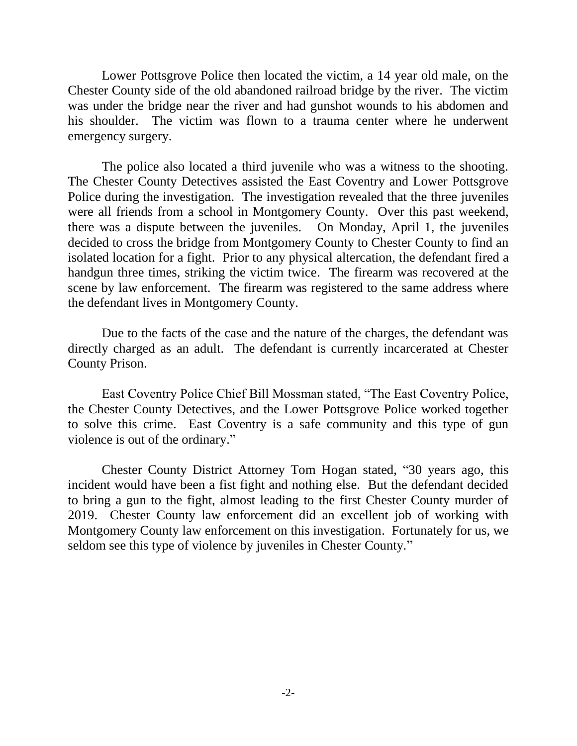Lower Pottsgrove Police then located the victim, a 14 year old male, on the Chester County side of the old abandoned railroad bridge by the river. The victim was under the bridge near the river and had gunshot wounds to his abdomen and his shoulder. The victim was flown to a trauma center where he underwent emergency surgery.

The police also located a third juvenile who was a witness to the shooting. The Chester County Detectives assisted the East Coventry and Lower Pottsgrove Police during the investigation. The investigation revealed that the three juveniles were all friends from a school in Montgomery County. Over this past weekend, there was a dispute between the juveniles. On Monday, April 1, the juveniles decided to cross the bridge from Montgomery County to Chester County to find an isolated location for a fight. Prior to any physical altercation, the defendant fired a handgun three times, striking the victim twice. The firearm was recovered at the scene by law enforcement. The firearm was registered to the same address where the defendant lives in Montgomery County.

Due to the facts of the case and the nature of the charges, the defendant was directly charged as an adult. The defendant is currently incarcerated at Chester County Prison.

East Coventry Police Chief Bill Mossman stated, "The East Coventry Police, the Chester County Detectives, and the Lower Pottsgrove Police worked together to solve this crime. East Coventry is a safe community and this type of gun violence is out of the ordinary."

Chester County District Attorney Tom Hogan stated, "30 years ago, this incident would have been a fist fight and nothing else. But the defendant decided to bring a gun to the fight, almost leading to the first Chester County murder of 2019. Chester County law enforcement did an excellent job of working with Montgomery County law enforcement on this investigation. Fortunately for us, we seldom see this type of violence by juveniles in Chester County."